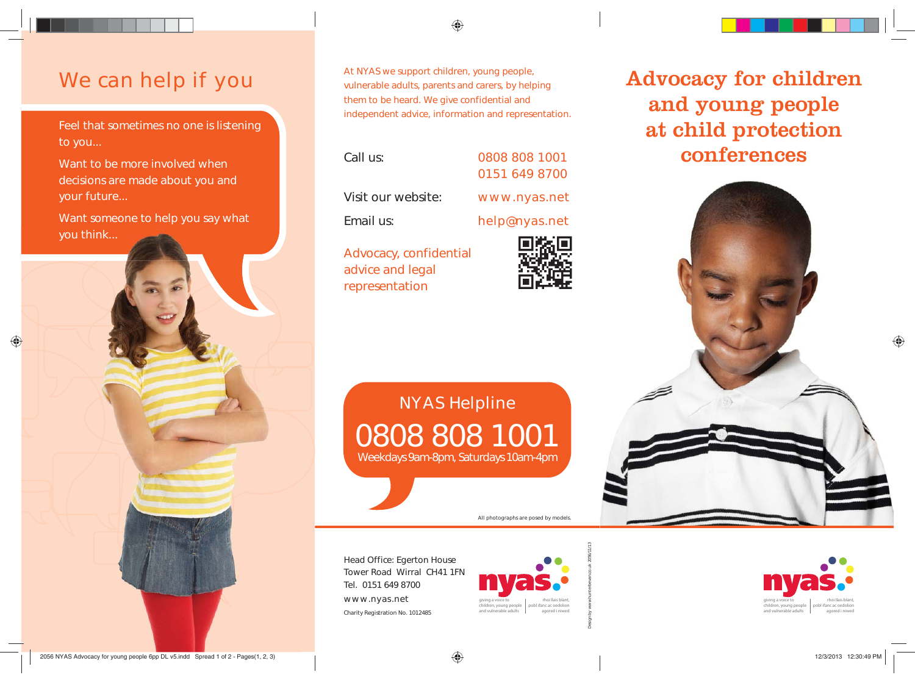## We can help if you

Feel that sometimes no one is listening to you...

Want to be more involved when decisions are made about you and your future...

Want someone to help you say what you think...

♠

At NYAS we support children, young people, vulnerable adults, parents and carers, by helping them to be heard. We give confidential and independent advice, information and representation.

⊕

| Call us:                                   | 0808 808 1001<br>0151 649 8700 |
|--------------------------------------------|--------------------------------|
| Visit our website:                         | www.nyas.net                   |
| Email us:                                  | help@nyas.net                  |
| Advocacy, confidential<br>advice and legal | 回荡回                            |

representation

0808 808 1001 Weekdays 9am-8pm, Saturdays 10am-4pm NYAS Helpline

All photographs are posed by models.

Head Office: Egerton House Tower Road Wirral CH41 1FN Tel. 0151 649 8700 www.nyas.net Charity Registration No. 1012485



Advocacy for children and young people at child protection conferences



giving a voice to children, young people and vulnerable adultsrhoi llais blant, pobl ifanc ac oedolion agored i niwed